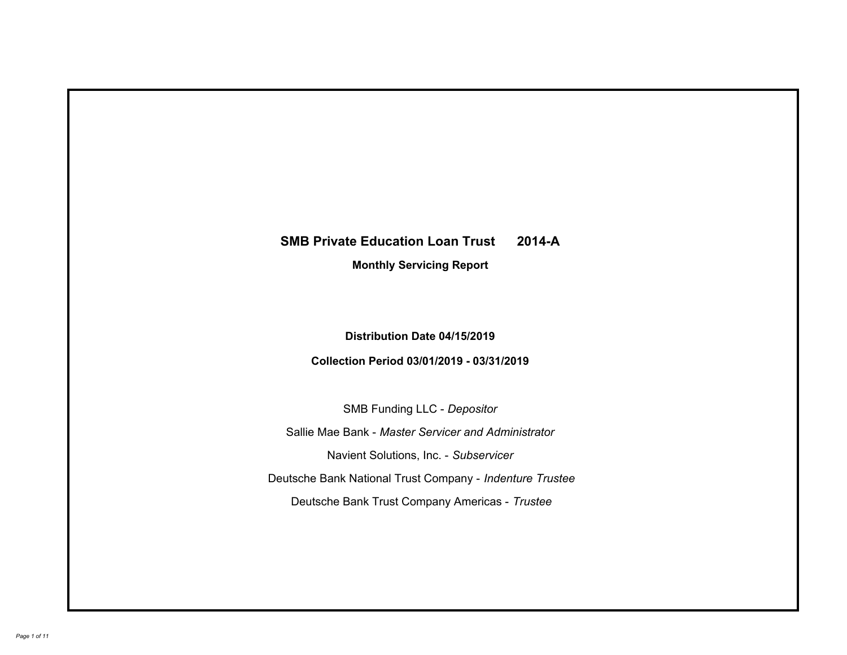# **SMB Private Education Loan Trust 2014-A Monthly Servicing Report**

# **Distribution Date 04/15/2019**

# **Collection Period 03/01/2019 - 03/31/2019**

SMB Funding LLC - *Depositor*

Sallie Mae Bank - *Master Servicer and Administrator*

Navient Solutions, Inc. - *Subservicer*

Deutsche Bank National Trust Company - *Indenture Trustee*

Deutsche Bank Trust Company Americas - *Trustee*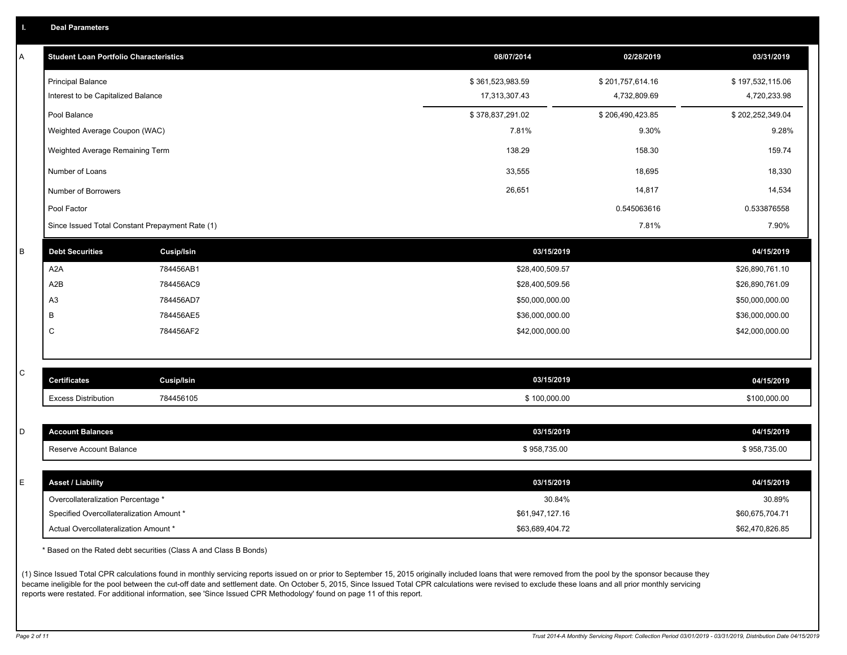|  |  |  | <b>Deal Parameters</b> |  |
|--|--|--|------------------------|--|
|--|--|--|------------------------|--|

| A | <b>Student Loan Portfolio Characteristics</b> |                                                 | 08/07/2014       | 02/28/2019       | 03/31/2019       |
|---|-----------------------------------------------|-------------------------------------------------|------------------|------------------|------------------|
|   | <b>Principal Balance</b>                      |                                                 | \$361,523,983.59 | \$201,757,614.16 | \$197,532,115.06 |
|   | Interest to be Capitalized Balance            |                                                 | 17,313,307.43    | 4,732,809.69     | 4,720,233.98     |
|   | Pool Balance                                  |                                                 | \$378,837,291.02 | \$206,490,423.85 | \$202,252,349.04 |
|   | Weighted Average Coupon (WAC)                 |                                                 | 7.81%            | 9.30%            | 9.28%            |
|   | Weighted Average Remaining Term               |                                                 | 138.29           | 158.30           | 159.74           |
|   | Number of Loans                               |                                                 | 33,555           | 18,695           | 18,330           |
|   | Number of Borrowers                           |                                                 | 26,651           | 14,817           | 14,534           |
|   | Pool Factor                                   |                                                 |                  | 0.545063616      | 0.533876558      |
|   |                                               | Since Issued Total Constant Prepayment Rate (1) |                  | 7.81%            | 7.90%            |
| B | <b>Debt Securities</b>                        | <b>Cusip/Isin</b>                               | 03/15/2019       |                  | 04/15/2019       |
|   | A2A                                           | 784456AB1                                       | \$28,400,509.57  |                  | \$26,890,761.10  |
|   | A2B                                           | 784456AC9                                       | \$28,400,509.56  |                  | \$26,890,761.09  |
|   | A <sub>3</sub>                                | 784456AD7                                       | \$50,000,000.00  |                  | \$50,000,000.00  |
|   | В                                             | 784456AE5                                       | \$36,000,000.00  |                  | \$36,000,000.00  |
|   | C                                             | 784456AF2                                       | \$42,000,000.00  |                  | \$42,000,000.00  |
|   |                                               |                                                 |                  |                  |                  |
| С | <b>Certificates</b>                           | <b>Cusip/Isin</b>                               | 03/15/2019       |                  | 04/15/2019       |
|   | <b>Excess Distribution</b>                    | 784456105                                       | \$100,000.00     |                  | \$100,000.00     |
|   |                                               |                                                 |                  |                  |                  |
| D | <b>Account Balances</b>                       |                                                 | 03/15/2019       |                  | 04/15/2019       |
|   | Reserve Account Balance                       |                                                 | \$958,735.00     |                  | \$958,735.00     |
|   |                                               |                                                 |                  |                  |                  |
| E | <b>Asset / Liability</b>                      |                                                 | 03/15/2019       |                  | 04/15/2019       |
|   | Overcollateralization Percentage *            |                                                 | 30.84%           |                  | 30.89%           |
|   | Specified Overcollateralization Amount *      |                                                 | \$61,947,127.16  |                  | \$60,675,704.71  |
|   | Actual Overcollateralization Amount *         |                                                 | \$63.689.404.72  |                  | \$62,470,826.85  |

\* Based on the Rated debt securities (Class A and Class B Bonds)

(1) Since Issued Total CPR calculations found in monthly servicing reports issued on or prior to September 15, 2015 originally included loans that were removed from the pool by the sponsor because they became ineligible for the pool between the cut-off date and settlement date. On October 5, 2015, Since Issued Total CPR calculations were revised to exclude these loans and all prior monthly servicing reports were restated. For additional information, see 'Since Issued CPR Methodology' found on page 11 of this report.

*Page 2 of 11 Trust 2014-A Monthly Servicing Report: Collection Period 03/01/2019 - 03/31/2019, Distribution Date 04/15/2019*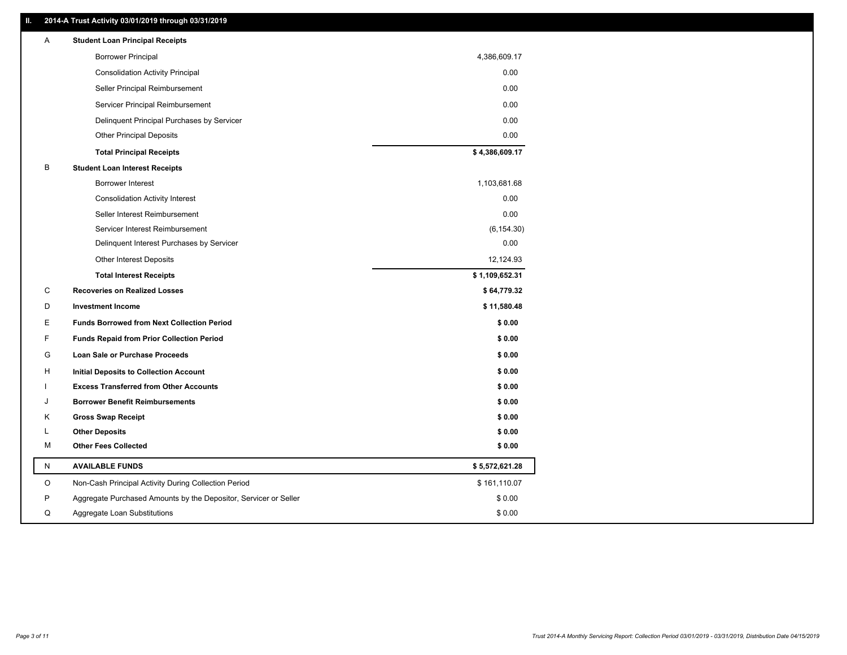### **II. 2014-A Trust Activity 03/01/2019 through 03/31/2019**

| A | <b>Student Loan Principal Receipts</b>                           |                |
|---|------------------------------------------------------------------|----------------|
|   | <b>Borrower Principal</b>                                        | 4,386,609.17   |
|   | <b>Consolidation Activity Principal</b>                          | 0.00           |
|   | Seller Principal Reimbursement                                   | 0.00           |
|   | Servicer Principal Reimbursement                                 | 0.00           |
|   | Delinquent Principal Purchases by Servicer                       | 0.00           |
|   | <b>Other Principal Deposits</b>                                  | 0.00           |
|   | <b>Total Principal Receipts</b>                                  | \$4,386,609.17 |
| В | <b>Student Loan Interest Receipts</b>                            |                |
|   | <b>Borrower Interest</b>                                         | 1,103,681.68   |
|   | <b>Consolidation Activity Interest</b>                           | 0.00           |
|   | Seller Interest Reimbursement                                    | 0.00           |
|   | Servicer Interest Reimbursement                                  | (6, 154.30)    |
|   | Delinquent Interest Purchases by Servicer                        | 0.00           |
|   | Other Interest Deposits                                          | 12,124.93      |
|   | <b>Total Interest Receipts</b>                                   | \$1,109,652.31 |
| C | <b>Recoveries on Realized Losses</b>                             | \$64,779.32    |
| D | <b>Investment Income</b>                                         | \$11,580.48    |
| Е | <b>Funds Borrowed from Next Collection Period</b>                | \$0.00         |
| F | <b>Funds Repaid from Prior Collection Period</b>                 | \$0.00         |
| G | Loan Sale or Purchase Proceeds                                   | \$0.00         |
| н | Initial Deposits to Collection Account                           | \$0.00         |
|   | <b>Excess Transferred from Other Accounts</b>                    | \$0.00         |
| J | <b>Borrower Benefit Reimbursements</b>                           | \$0.00         |
| Κ | <b>Gross Swap Receipt</b>                                        | \$0.00         |
| L | <b>Other Deposits</b>                                            | \$0.00         |
| М | <b>Other Fees Collected</b>                                      | \$0.00         |
| N | <b>AVAILABLE FUNDS</b>                                           | \$5,572,621.28 |
| O | Non-Cash Principal Activity During Collection Period             | \$161,110.07   |
| P | Aggregate Purchased Amounts by the Depositor, Servicer or Seller | \$0.00         |
| Q | Aggregate Loan Substitutions                                     | \$0.00         |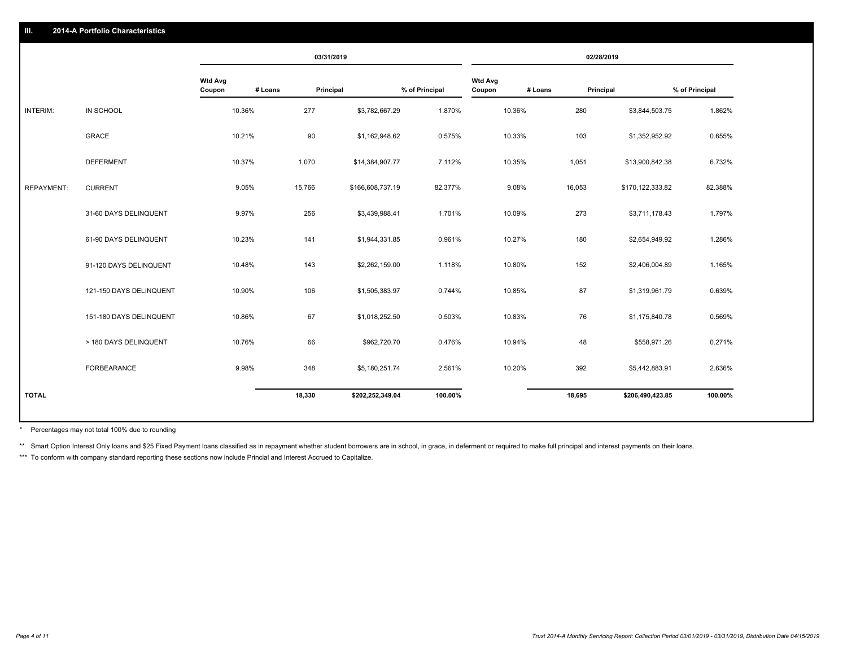|                         |                   |         | 03/31/2019                                                                                              |                  |         |                                                                                                                                                                                                                                           |         | 02/28/2019                                                                                       |                  |                |
|-------------------------|-------------------|---------|---------------------------------------------------------------------------------------------------------|------------------|---------|-------------------------------------------------------------------------------------------------------------------------------------------------------------------------------------------------------------------------------------------|---------|--------------------------------------------------------------------------------------------------|------------------|----------------|
|                         | Wtd Avg<br>Coupon | # Loans | Principal                                                                                               |                  |         | <b>Wtd Avg</b><br>Coupon                                                                                                                                                                                                                  | # Loans |                                                                                                  |                  | % of Principal |
| IN SCHOOL               |                   |         | 277                                                                                                     |                  | 1.870%  |                                                                                                                                                                                                                                           |         | 280                                                                                              | \$3,844,503.75   | 1.862%         |
| <b>GRACE</b>            |                   |         | 90                                                                                                      |                  | 0.575%  |                                                                                                                                                                                                                                           |         | 103                                                                                              | \$1,352,952.92   | 0.655%         |
| <b>DEFERMENT</b>        |                   |         | 1,070                                                                                                   |                  | 7.112%  |                                                                                                                                                                                                                                           |         | 1,051                                                                                            | \$13,900,842.38  | 6.732%         |
| <b>CURRENT</b>          |                   |         |                                                                                                         |                  | 82.377% |                                                                                                                                                                                                                                           | 9.08%   | 16,053                                                                                           | \$170,122,333.82 | 82.388%        |
| 31-60 DAYS DELINQUENT   |                   |         | 256                                                                                                     |                  | 1.701%  |                                                                                                                                                                                                                                           |         | 273                                                                                              | \$3,711,178.43   | 1.797%         |
| 61-90 DAYS DELINQUENT   |                   |         | 141                                                                                                     |                  | 0.961%  |                                                                                                                                                                                                                                           |         | 180                                                                                              | \$2,654,949.92   | 1.286%         |
| 91-120 DAYS DELINQUENT  |                   |         | 143                                                                                                     |                  | 1.118%  |                                                                                                                                                                                                                                           |         | 152                                                                                              | \$2,406,004.89   | 1.165%         |
| 121-150 DAYS DELINQUENT |                   |         | 106                                                                                                     |                  | 0.744%  |                                                                                                                                                                                                                                           |         | 87                                                                                               | \$1,319,961.79   | 0.639%         |
| 151-180 DAYS DELINQUENT |                   |         | 67                                                                                                      |                  | 0.503%  |                                                                                                                                                                                                                                           |         | 76                                                                                               | \$1,175,840.78   | 0.569%         |
| > 180 DAYS DELINQUENT   |                   |         | 66                                                                                                      |                  | 0.476%  |                                                                                                                                                                                                                                           |         | 48                                                                                               | \$558,971.26     | 0.271%         |
| <b>FORBEARANCE</b>      |                   |         | 348                                                                                                     |                  | 2.561%  |                                                                                                                                                                                                                                           |         | 392                                                                                              | \$5,442,883.91   | 2.636%         |
|                         |                   |         |                                                                                                         |                  | 100.00% |                                                                                                                                                                                                                                           |         | 18,695                                                                                           | \$206,490,423.85 | 100.00%        |
|                         |                   |         | 10.36%<br>10.21%<br>10.37%<br>9.05%<br>9.97%<br>10.23%<br>10.48%<br>10.90%<br>10.86%<br>10.76%<br>9.98% | 15,766<br>18,330 |         | % of Principal<br>\$3,782,667.29<br>\$1,162,948.62<br>\$14,384,907.77<br>\$166,608,737.19<br>\$3,439,988.41<br>\$1,944,331.85<br>\$2,262,159.00<br>\$1,505,383.97<br>\$1,018,252.50<br>\$962,720.70<br>\$5,180,251.74<br>\$202,252,349.04 |         | 10.36%<br>10.33%<br>10.35%<br>10.09%<br>10.27%<br>10.80%<br>10.85%<br>10.83%<br>10.94%<br>10.20% |                  | Principal      |

Percentages may not total 100% due to rounding \*

\*\* Smart Option Interest Only loans and \$25 Fixed Payment loans classified as in repayment whether student borrowers are in school, in grace, in deferment or required to make full principal and interest payments on their l

\*\*\* To conform with company standard reporting these sections now include Princial and Interest Accrued to Capitalize.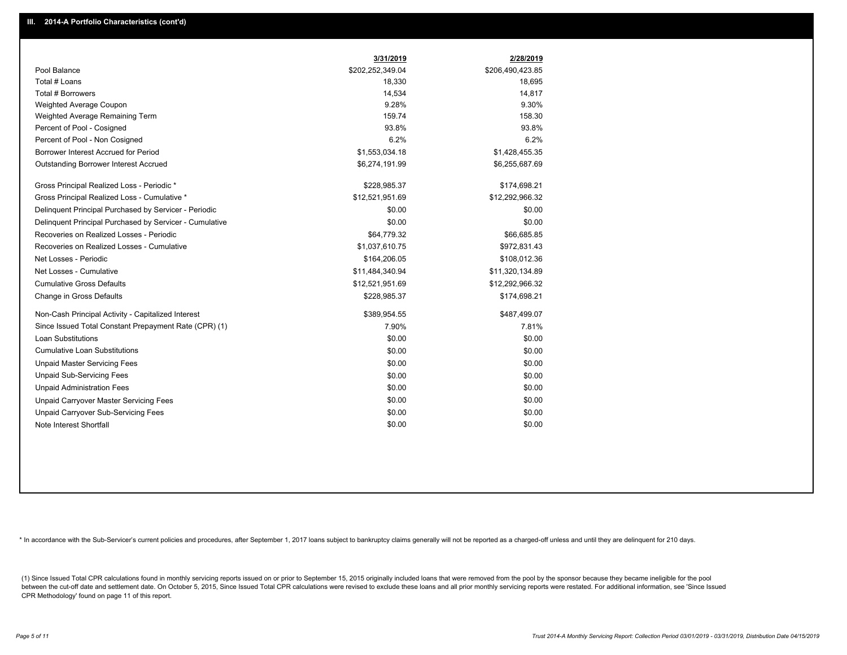|                                                         | 3/31/2019        | 2/28/2019        |
|---------------------------------------------------------|------------------|------------------|
| Pool Balance                                            | \$202,252,349.04 | \$206,490,423.85 |
| Total # Loans                                           | 18,330           | 18,695           |
| Total # Borrowers                                       | 14,534           | 14,817           |
| Weighted Average Coupon                                 | 9.28%            | 9.30%            |
| Weighted Average Remaining Term                         | 159.74           | 158.30           |
| Percent of Pool - Cosigned                              | 93.8%            | 93.8%            |
| Percent of Pool - Non Cosigned                          | 6.2%             | 6.2%             |
| Borrower Interest Accrued for Period                    | \$1,553,034.18   | \$1,428,455.35   |
| <b>Outstanding Borrower Interest Accrued</b>            | \$6,274,191.99   | \$6,255,687.69   |
| Gross Principal Realized Loss - Periodic *              | \$228,985.37     | \$174,698.21     |
| Gross Principal Realized Loss - Cumulative *            | \$12,521,951.69  | \$12,292,966.32  |
| Delinquent Principal Purchased by Servicer - Periodic   | \$0.00           | \$0.00           |
| Delinguent Principal Purchased by Servicer - Cumulative | \$0.00           | \$0.00           |
| Recoveries on Realized Losses - Periodic                | \$64,779.32      | \$66.685.85      |
| Recoveries on Realized Losses - Cumulative              | \$1,037,610.75   | \$972,831.43     |
| Net Losses - Periodic                                   | \$164,206.05     | \$108,012.36     |
| Net Losses - Cumulative                                 | \$11,484,340.94  | \$11,320,134.89  |
| <b>Cumulative Gross Defaults</b>                        | \$12,521,951.69  | \$12,292,966.32  |
| Change in Gross Defaults                                | \$228,985.37     | \$174,698.21     |
| Non-Cash Principal Activity - Capitalized Interest      | \$389,954.55     | \$487,499.07     |
| Since Issued Total Constant Prepayment Rate (CPR) (1)   | 7.90%            | 7.81%            |
| Loan Substitutions                                      | \$0.00           | \$0.00           |
| <b>Cumulative Loan Substitutions</b>                    | \$0.00           | \$0.00           |
| <b>Unpaid Master Servicing Fees</b>                     | \$0.00           | \$0.00           |
| <b>Unpaid Sub-Servicing Fees</b>                        | \$0.00           | \$0.00           |
| <b>Unpaid Administration Fees</b>                       | \$0.00           | \$0.00           |
| Unpaid Carryover Master Servicing Fees                  | \$0.00           | \$0.00           |
| Unpaid Carryover Sub-Servicing Fees                     | \$0.00           | \$0.00           |
| Note Interest Shortfall                                 | \$0.00           | \$0.00           |

\* In accordance with the Sub-Servicer's current policies and procedures, after September 1, 2017 loans subject to bankruptcy claims generally will not be reported as a charged-off unless and until they are delinquent for 2

(1) Since Issued Total CPR calculations found in monthly servicing reports issued on or prior to September 15, 2015 originally included loans that were removed from the pool by the sponsor because they became ineligible fo between the cut-off date and settlement date. On October 5, 2015, Since Issued Total CPR calculations were revised to exclude these loans and all prior monthly servicing reports were restated. For additional information, s CPR Methodology' found on page 11 of this report.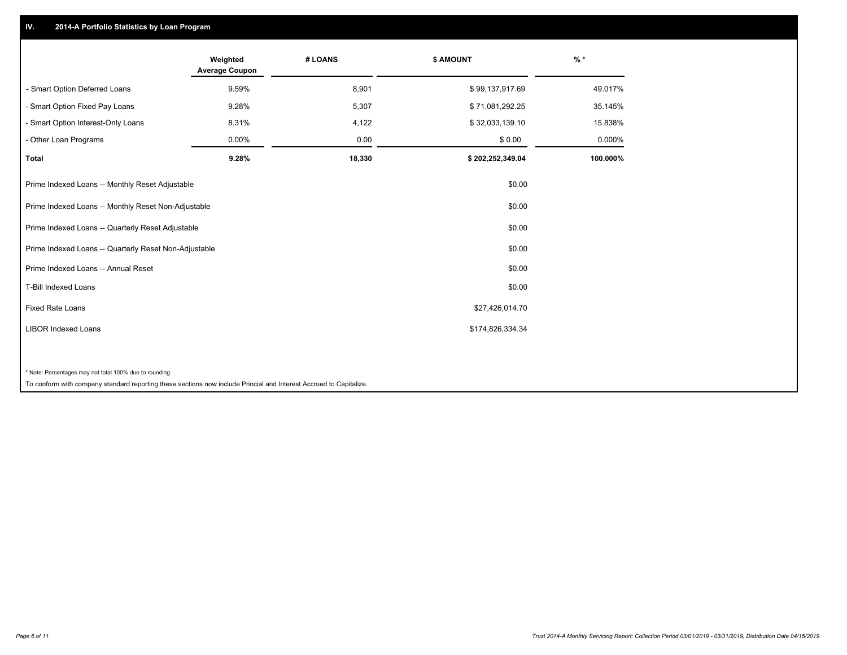## **IV. 2014-A Portfolio Statistics by Loan Program**

|                                                                                                                    | Weighted<br><b>Average Coupon</b> | # LOANS | \$ AMOUNT        | $%$ *    |
|--------------------------------------------------------------------------------------------------------------------|-----------------------------------|---------|------------------|----------|
| - Smart Option Deferred Loans                                                                                      | 9.59%                             | 8,901   | \$99,137,917.69  | 49.017%  |
| - Smart Option Fixed Pay Loans                                                                                     | 9.28%                             | 5,307   | \$71,081,292.25  | 35.145%  |
| - Smart Option Interest-Only Loans                                                                                 | 8.31%                             | 4,122   | \$32,033,139.10  | 15.838%  |
| - Other Loan Programs                                                                                              | 0.00%                             | 0.00    | \$0.00           | 0.000%   |
| <b>Total</b>                                                                                                       | 9.28%                             | 18,330  | \$202,252,349.04 | 100.000% |
| Prime Indexed Loans -- Monthly Reset Adjustable                                                                    |                                   |         | \$0.00           |          |
| Prime Indexed Loans -- Monthly Reset Non-Adjustable                                                                |                                   |         | \$0.00           |          |
| Prime Indexed Loans -- Quarterly Reset Adjustable                                                                  |                                   |         | \$0.00           |          |
| Prime Indexed Loans -- Quarterly Reset Non-Adjustable                                                              |                                   |         | \$0.00           |          |
| Prime Indexed Loans -- Annual Reset                                                                                |                                   |         | \$0.00           |          |
| T-Bill Indexed Loans                                                                                               |                                   |         | \$0.00           |          |
| <b>Fixed Rate Loans</b>                                                                                            |                                   |         | \$27,426,014.70  |          |
| <b>LIBOR Indexed Loans</b>                                                                                         |                                   |         | \$174,826,334.34 |          |
|                                                                                                                    |                                   |         |                  |          |
| * Note: Percentages may not total 100% due to rounding                                                             |                                   |         |                  |          |
| To conform with company standard reporting these sections now include Princial and Interest Accrued to Capitalize. |                                   |         |                  |          |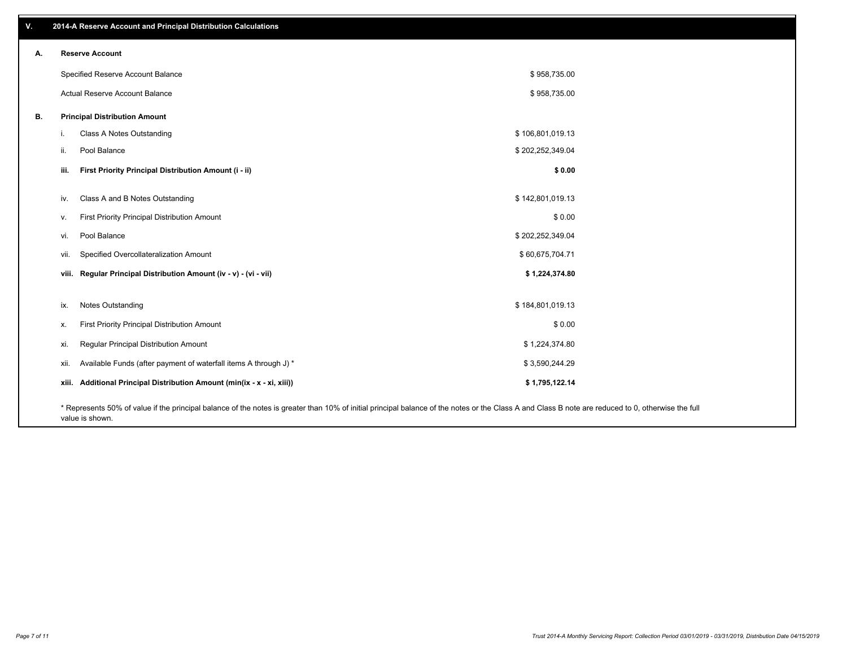| v. | 2014-A Reserve Account and Principal Distribution Calculations                                                                                                                                     |                  |  |
|----|----------------------------------------------------------------------------------------------------------------------------------------------------------------------------------------------------|------------------|--|
| А. | <b>Reserve Account</b>                                                                                                                                                                             |                  |  |
|    | Specified Reserve Account Balance                                                                                                                                                                  | \$958,735.00     |  |
|    | Actual Reserve Account Balance                                                                                                                                                                     | \$958,735.00     |  |
| В. | <b>Principal Distribution Amount</b>                                                                                                                                                               |                  |  |
|    | Class A Notes Outstanding<br>i.                                                                                                                                                                    | \$106,801,019.13 |  |
|    | Pool Balance<br>ii.                                                                                                                                                                                | \$202,252,349.04 |  |
|    | First Priority Principal Distribution Amount (i - ii)<br>iii.                                                                                                                                      | \$0.00           |  |
|    | Class A and B Notes Outstanding<br>iv.                                                                                                                                                             | \$142,801,019.13 |  |
|    | First Priority Principal Distribution Amount<br>V.                                                                                                                                                 | \$0.00           |  |
|    | Pool Balance<br>vi.                                                                                                                                                                                | \$202,252,349.04 |  |
|    | Specified Overcollateralization Amount<br>vii.                                                                                                                                                     | \$60,675,704.71  |  |
|    | viii. Regular Principal Distribution Amount (iv - v) - (vi - vii)                                                                                                                                  | \$1,224,374.80   |  |
|    |                                                                                                                                                                                                    |                  |  |
|    | <b>Notes Outstanding</b><br>ix.                                                                                                                                                                    | \$184,801,019.13 |  |
|    | First Priority Principal Distribution Amount<br>х.                                                                                                                                                 | \$0.00           |  |
|    | Regular Principal Distribution Amount<br>xi.                                                                                                                                                       | \$1,224,374.80   |  |
|    | Available Funds (after payment of waterfall items A through J) *<br>xii.                                                                                                                           | \$3,590,244.29   |  |
|    | xiii. Additional Principal Distribution Amount (min(ix - x - xi, xiii))                                                                                                                            | \$1,795,122.14   |  |
|    | * Represents 50% of value if the principal balance of the notes is greater than 10% of initial principal balance of the notes or the Class A and Class B note are reduced to 0, otherwise the full |                  |  |

value is shown.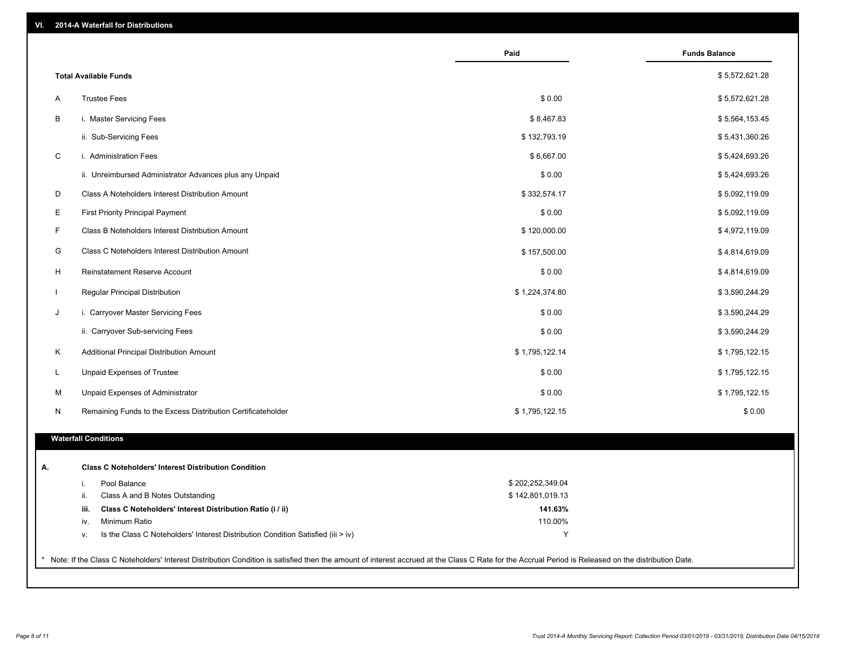| VI. |  | 2014-A Waterfall for Distributions |  |  |  |
|-----|--|------------------------------------|--|--|--|
|-----|--|------------------------------------|--|--|--|

|              |                                                                                        | Paid             | <b>Funds Balance</b> |
|--------------|----------------------------------------------------------------------------------------|------------------|----------------------|
|              | <b>Total Available Funds</b>                                                           |                  | \$5,572,621.28       |
| A            | <b>Trustee Fees</b>                                                                    | \$0.00           | \$5,572,621.28       |
| B            | i. Master Servicing Fees                                                               | \$8,467.83       | \$5,564,153.45       |
|              | ii. Sub-Servicing Fees                                                                 | \$132,793.19     | \$5,431,360.26       |
| C            | i. Administration Fees                                                                 | \$6,667.00       | \$5,424,693.26       |
|              | ii. Unreimbursed Administrator Advances plus any Unpaid                                | \$0.00           | \$5,424,693.26       |
| D            | Class A Noteholders Interest Distribution Amount                                       | \$332,574.17     | \$5,092,119.09       |
| E            | <b>First Priority Principal Payment</b>                                                | \$0.00           | \$5,092,119.09       |
| F            | Class B Noteholders Interest Distribution Amount                                       | \$120,000.00     | \$4,972,119.09       |
| G            | Class C Noteholders Interest Distribution Amount                                       | \$157,500.00     |                      |
|              |                                                                                        |                  | \$4,814,619.09       |
| H            | Reinstatement Reserve Account                                                          | \$0.00           | \$4,814,619.09       |
| $\mathbf{I}$ | Regular Principal Distribution                                                         | \$1,224,374.80   | \$3,590,244.29       |
| J            | i. Carryover Master Servicing Fees                                                     | \$0.00           | \$3,590,244.29       |
|              | ii. Carryover Sub-servicing Fees                                                       | \$0.00           | \$3,590,244.29       |
| Κ            | Additional Principal Distribution Amount                                               | \$1,795,122.14   | \$1,795,122.15       |
| L            | Unpaid Expenses of Trustee                                                             | \$0.00           | \$1,795,122.15       |
| М            | Unpaid Expenses of Administrator                                                       | \$0.00           | \$1,795,122.15       |
| N            | Remaining Funds to the Excess Distribution Certificateholder                           | \$1,795,122.15   | \$0.00               |
|              | <b>Waterfall Conditions</b>                                                            |                  |                      |
|              |                                                                                        |                  |                      |
|              | <b>Class C Noteholders' Interest Distribution Condition</b>                            |                  |                      |
|              | Pool Balance<br>i.                                                                     | \$202,252,349.04 |                      |
|              | ii.<br>Class A and B Notes Outstanding                                                 | \$142,801,019.13 |                      |
|              | Class C Noteholders' Interest Distribution Ratio (i / ii)<br>iii.                      | 141.63%          |                      |
|              | Minimum Ratio<br>iv.                                                                   | 110.00%          |                      |
|              | Is the Class C Noteholders' Interest Distribution Condition Satisfied (iii > iv)<br>ν. | Y                |                      |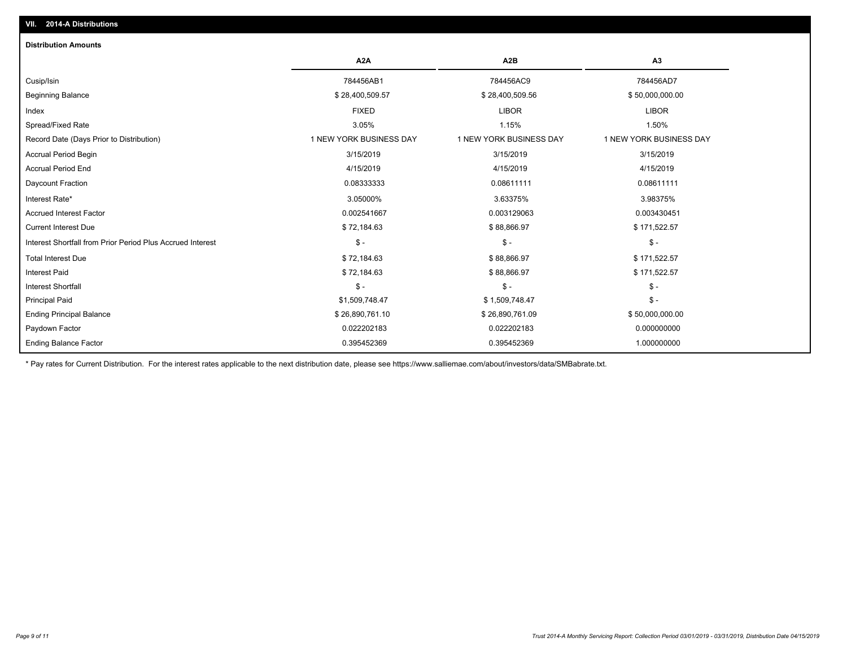| <b>Distribution Amounts</b>                                |                         |                         |                         |
|------------------------------------------------------------|-------------------------|-------------------------|-------------------------|
|                                                            | A2A                     | A2B                     | A3                      |
| Cusip/Isin                                                 | 784456AB1               | 784456AC9               | 784456AD7               |
| <b>Beginning Balance</b>                                   | \$28,400,509.57         | \$28,400,509.56         | \$50,000,000.00         |
| Index                                                      | <b>FIXED</b>            | <b>LIBOR</b>            | <b>LIBOR</b>            |
| Spread/Fixed Rate                                          | 3.05%                   | 1.15%                   | 1.50%                   |
| Record Date (Days Prior to Distribution)                   | 1 NEW YORK BUSINESS DAY | 1 NEW YORK BUSINESS DAY | 1 NEW YORK BUSINESS DAY |
| Accrual Period Begin                                       | 3/15/2019               | 3/15/2019               | 3/15/2019               |
| <b>Accrual Period End</b>                                  | 4/15/2019               | 4/15/2019               | 4/15/2019               |
| Daycount Fraction                                          | 0.08333333              | 0.08611111              | 0.08611111              |
| Interest Rate*                                             | 3.05000%                | 3.63375%                | 3.98375%                |
| <b>Accrued Interest Factor</b>                             | 0.002541667             | 0.003129063             | 0.003430451             |
| <b>Current Interest Due</b>                                | \$72,184.63             | \$88,866.97             | \$171,522.57            |
| Interest Shortfall from Prior Period Plus Accrued Interest | $\mathcal{S}$ -         | $\frac{1}{2}$           | $\frac{2}{3}$ -         |
| <b>Total Interest Due</b>                                  | \$72,184.63             | \$88,866.97             | \$171,522.57            |
| <b>Interest Paid</b>                                       | \$72,184.63             | \$88,866.97             | \$171,522.57            |
| <b>Interest Shortfall</b>                                  | $\mathsf{\$}$ -         | $\mathsf{\$}$ -         | $$ -$                   |
| <b>Principal Paid</b>                                      | \$1,509,748.47          | \$1,509,748.47          | $$ -$                   |
| <b>Ending Principal Balance</b>                            | \$26,890,761.10         | \$26,890,761.09         | \$50,000,000.00         |
| Paydown Factor                                             | 0.022202183             | 0.022202183             | 0.000000000             |
| <b>Ending Balance Factor</b>                               | 0.395452369             | 0.395452369             | 1.000000000             |

\* Pay rates for Current Distribution. For the interest rates applicable to the next distribution date, please see https://www.salliemae.com/about/investors/data/SMBabrate.txt.

**VII. 2014-A Distributions**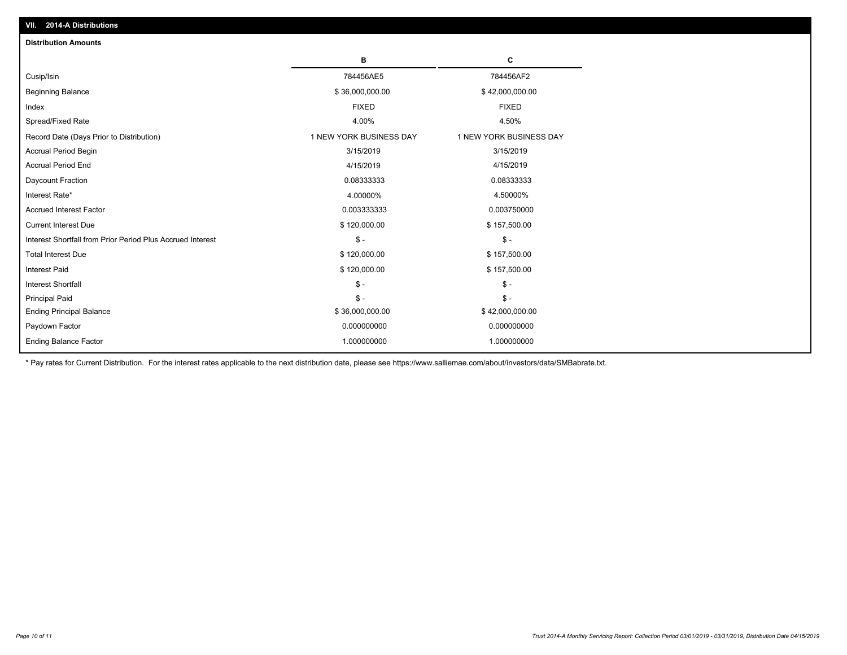| <b>Distribution Amounts</b>                                |                         |                         |
|------------------------------------------------------------|-------------------------|-------------------------|
|                                                            | в                       | C                       |
| Cusip/Isin                                                 | 784456AE5               | 784456AF2               |
| <b>Beginning Balance</b>                                   | \$36,000,000.00         | \$42,000,000.00         |
| Index                                                      | <b>FIXED</b>            | <b>FIXED</b>            |
| Spread/Fixed Rate                                          | 4.00%                   | 4.50%                   |
| Record Date (Days Prior to Distribution)                   | 1 NEW YORK BUSINESS DAY | 1 NEW YORK BUSINESS DAY |
| <b>Accrual Period Begin</b>                                | 3/15/2019               | 3/15/2019               |
| <b>Accrual Period End</b>                                  | 4/15/2019               | 4/15/2019               |
| Daycount Fraction                                          | 0.08333333              | 0.08333333              |
| Interest Rate*                                             | 4.00000%                | 4.50000%                |
| <b>Accrued Interest Factor</b>                             | 0.003333333             | 0.003750000             |
| <b>Current Interest Due</b>                                | \$120,000.00            | \$157,500.00            |
| Interest Shortfall from Prior Period Plus Accrued Interest | $\frac{1}{2}$           | $\mathsf{\$}$ -         |
| <b>Total Interest Due</b>                                  | \$120,000.00            | \$157,500.00            |
| <b>Interest Paid</b>                                       | \$120,000.00            | \$157,500.00            |
| Interest Shortfall                                         | $\mathcal{S}$ -         | $\mathbb{S}$ -          |
| <b>Principal Paid</b>                                      | $\mathsf{\$}$ -         | $\mathbb{S}$ -          |
| <b>Ending Principal Balance</b>                            | \$36,000,000.00         | \$42,000,000.00         |
| Paydown Factor                                             | 0.000000000             | 0.000000000             |
| <b>Ending Balance Factor</b>                               | 1.000000000             | 1.000000000             |

\* Pay rates for Current Distribution. For the interest rates applicable to the next distribution date, please see https://www.salliemae.com/about/investors/data/SMBabrate.txt.

**VII. 2014-A Distributions**